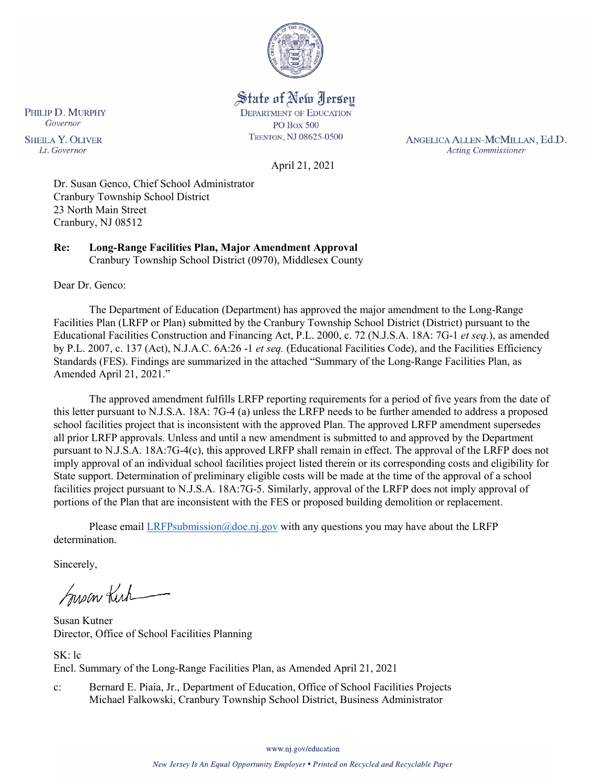

State of New Jersey **DEPARTMENT OF EDUCATION** 

**PO Box 500** TRENTON, NJ 08625-0500

ANGELICA ALLEN-MCMILLAN, Ed.D. **Acting Commissioner** 

PHILIP D. MURPHY Governor **SHEILA Y. OLIVER** Lt. Governor

April 21, 2021

Dr. Susan Genco, Chief School Administrator Cranbury Township School District 23 North Main Street Cranbury, NJ 08512

**Re: Long-Range Facilities Plan, Major Amendment Approval** Cranbury Township School District (0970), Middlesex County

Dear Dr. Genco:

The Department of Education (Department) has approved the major amendment to the Long-Range Facilities Plan (LRFP or Plan) submitted by the Cranbury Township School District (District) pursuant to the Educational Facilities Construction and Financing Act, P.L. 2000, c. 72 (N.J.S.A. 18A: 7G-1 *et seq.*), as amended by P.L. 2007, c. 137 (Act), N.J.A.C. 6A:26 -1 *et seq.* (Educational Facilities Code), and the Facilities Efficiency Standards (FES). Findings are summarized in the attached "Summary of the Long-Range Facilities Plan, as Amended April 21, 2021."

The approved amendment fulfills LRFP reporting requirements for a period of five years from the date of this letter pursuant to N.J.S.A. 18A: 7G-4 (a) unless the LRFP needs to be further amended to address a proposed school facilities project that is inconsistent with the approved Plan. The approved LRFP amendment supersedes all prior LRFP approvals. Unless and until a new amendment is submitted to and approved by the Department pursuant to N.J.S.A. 18A:7G-4(c), this approved LRFP shall remain in effect. The approval of the LRFP does not imply approval of an individual school facilities project listed therein or its corresponding costs and eligibility for State support. Determination of preliminary eligible costs will be made at the time of the approval of a school facilities project pursuant to N.J.S.A. 18A:7G-5. Similarly, approval of the LRFP does not imply approval of portions of the Plan that are inconsistent with the FES or proposed building demolition or replacement.

Please email [LRFPsubmission@doe.nj.gov](mailto:LRFPsubmission@doe.nj.gov) with any questions you may have about the LRFP determination.

Sincerely,

Susan Kich

Susan Kutner Director, Office of School Facilities Planning

SK: lc Encl. Summary of the Long-Range Facilities Plan, as Amended April 21, 2021

c: Bernard E. Piaia, Jr., Department of Education, Office of School Facilities Projects Michael Falkowski, Cranbury Township School District, Business Administrator

www.nj.gov/education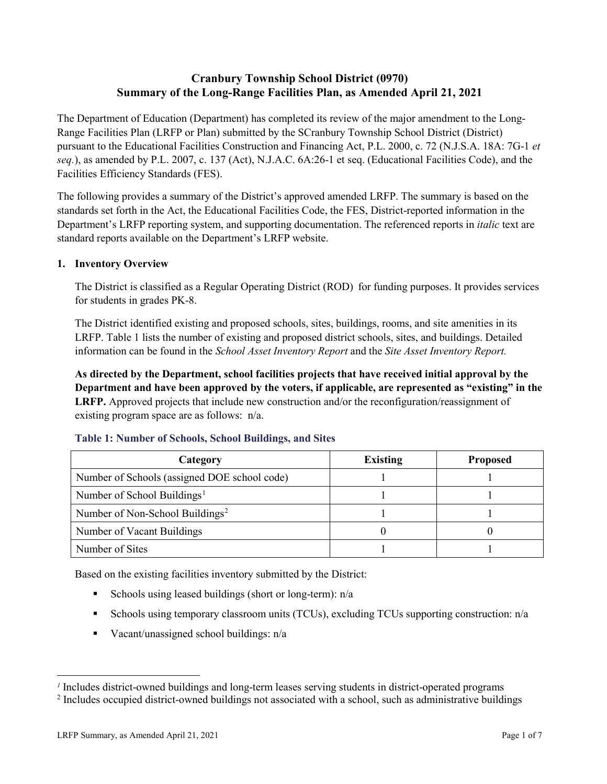# **Cranbury Township School District (0970) Summary of the Long-Range Facilities Plan, as Amended April 21, 2021**

The Department of Education (Department) has completed its review of the major amendment to the Long-Range Facilities Plan (LRFP or Plan) submitted by the SCranbury Township School District (District) pursuant to the Educational Facilities Construction and Financing Act, P.L. 2000, c. 72 (N.J.S.A. 18A: 7G-1 *et seq.*), as amended by P.L. 2007, c. 137 (Act), N.J.A.C. 6A:26-1 et seq. (Educational Facilities Code), and the Facilities Efficiency Standards (FES).

The following provides a summary of the District's approved amended LRFP. The summary is based on the standards set forth in the Act, the Educational Facilities Code, the FES, District-reported information in the Department's LRFP reporting system, and supporting documentation. The referenced reports in *italic* text are standard reports available on the Department's LRFP website.

## **1. Inventory Overview**

The District is classified as a Regular Operating District (ROD) for funding purposes. It provides services for students in grades PK-8.

The District identified existing and proposed schools, sites, buildings, rooms, and site amenities in its LRFP. Table 1 lists the number of existing and proposed district schools, sites, and buildings. Detailed information can be found in the *School Asset Inventory Report* and the *Site Asset Inventory Report.*

**As directed by the Department, school facilities projects that have received initial approval by the Department and have been approved by the voters, if applicable, are represented as "existing" in the LRFP.** Approved projects that include new construction and/or the reconfiguration/reassignment of existing program space are as follows: n/a.

| Category                                     | <b>Existing</b> | <b>Proposed</b> |
|----------------------------------------------|-----------------|-----------------|
| Number of Schools (assigned DOE school code) |                 |                 |
| Number of School Buildings <sup>1</sup>      |                 |                 |
| Number of Non-School Buildings <sup>2</sup>  |                 |                 |
| Number of Vacant Buildings                   |                 |                 |
| Number of Sites                              |                 |                 |

#### **Table 1: Number of Schools, School Buildings, and Sites**

Based on the existing facilities inventory submitted by the District:

- Schools using leased buildings (short or long-term):  $n/a$
- Schools using temporary classroom units (TCUs), excluding TCUs supporting construction: n/a
- Vacant/unassigned school buildings:  $n/a$

 $\overline{a}$ 

<span id="page-1-0"></span>*<sup>1</sup>* Includes district-owned buildings and long-term leases serving students in district-operated programs

<span id="page-1-1"></span><sup>&</sup>lt;sup>2</sup> Includes occupied district-owned buildings not associated with a school, such as administrative buildings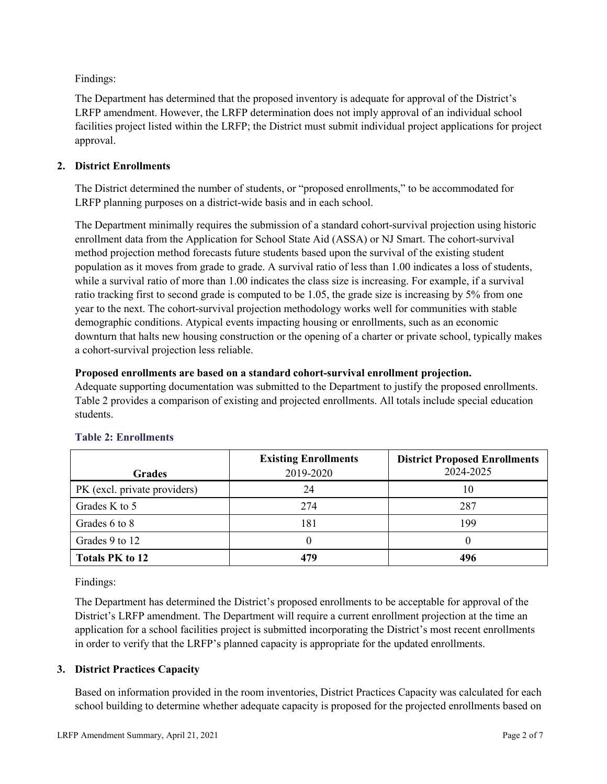Findings:

The Department has determined that the proposed inventory is adequate for approval of the District's LRFP amendment. However, the LRFP determination does not imply approval of an individual school facilities project listed within the LRFP; the District must submit individual project applications for project approval.

## **2. District Enrollments**

The District determined the number of students, or "proposed enrollments," to be accommodated for LRFP planning purposes on a district-wide basis and in each school.

The Department minimally requires the submission of a standard cohort-survival projection using historic enrollment data from the Application for School State Aid (ASSA) or NJ Smart. The cohort-survival method projection method forecasts future students based upon the survival of the existing student population as it moves from grade to grade. A survival ratio of less than 1.00 indicates a loss of students, while a survival ratio of more than 1.00 indicates the class size is increasing. For example, if a survival ratio tracking first to second grade is computed to be 1.05, the grade size is increasing by 5% from one year to the next. The cohort-survival projection methodology works well for communities with stable demographic conditions. Atypical events impacting housing or enrollments, such as an economic downturn that halts new housing construction or the opening of a charter or private school, typically makes a cohort-survival projection less reliable.

#### **Proposed enrollments are based on a standard cohort-survival enrollment projection.**

Adequate supporting documentation was submitted to the Department to justify the proposed enrollments. Table 2 provides a comparison of existing and projected enrollments. All totals include special education students.

|                              | <b>Existing Enrollments</b> | <b>District Proposed Enrollments</b> |
|------------------------------|-----------------------------|--------------------------------------|
| <b>Grades</b>                | 2019-2020                   | 2024-2025                            |
| PK (excl. private providers) | 24                          | 10                                   |
| Grades K to 5                | 274                         | 287                                  |
| Grades 6 to 8                | 181                         | 199                                  |
| Grades 9 to 12               |                             |                                      |
| <b>Totals PK to 12</b>       | 479                         | 496                                  |

## **Table 2: Enrollments**

Findings:

The Department has determined the District's proposed enrollments to be acceptable for approval of the District's LRFP amendment. The Department will require a current enrollment projection at the time an application for a school facilities project is submitted incorporating the District's most recent enrollments in order to verify that the LRFP's planned capacity is appropriate for the updated enrollments.

## **3. District Practices Capacity**

Based on information provided in the room inventories, District Practices Capacity was calculated for each school building to determine whether adequate capacity is proposed for the projected enrollments based on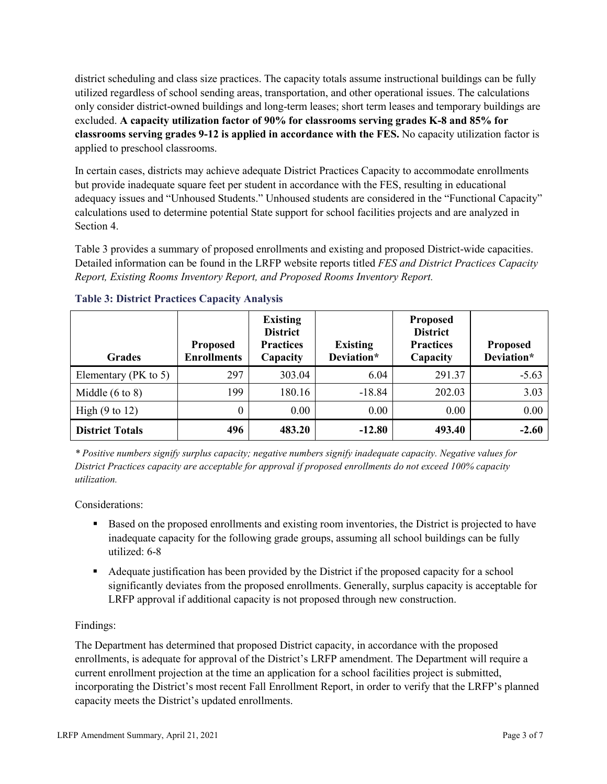district scheduling and class size practices. The capacity totals assume instructional buildings can be fully utilized regardless of school sending areas, transportation, and other operational issues. The calculations only consider district-owned buildings and long-term leases; short term leases and temporary buildings are excluded. **A capacity utilization factor of 90% for classrooms serving grades K-8 and 85% for classrooms serving grades 9-12 is applied in accordance with the FES.** No capacity utilization factor is applied to preschool classrooms.

In certain cases, districts may achieve adequate District Practices Capacity to accommodate enrollments but provide inadequate square feet per student in accordance with the FES, resulting in educational adequacy issues and "Unhoused Students." Unhoused students are considered in the "Functional Capacity" calculations used to determine potential State support for school facilities projects and are analyzed in Section 4.

Table 3 provides a summary of proposed enrollments and existing and proposed District-wide capacities. Detailed information can be found in the LRFP website reports titled *FES and District Practices Capacity Report, Existing Rooms Inventory Report, and Proposed Rooms Inventory Report.*

| <b>Grades</b>              | <b>Proposed</b><br><b>Enrollments</b> | <b>Existing</b><br><b>District</b><br><b>Practices</b><br>Capacity | <b>Existing</b><br>Deviation* | <b>Proposed</b><br><b>District</b><br><b>Practices</b><br>Capacity | <b>Proposed</b><br>Deviation* |
|----------------------------|---------------------------------------|--------------------------------------------------------------------|-------------------------------|--------------------------------------------------------------------|-------------------------------|
| Elementary ( $PK$ to 5)    | 297                                   | 303.04                                                             | 6.04                          | 291.37                                                             | $-5.63$                       |
| Middle $(6 \text{ to } 8)$ | 199                                   | 180.16                                                             | $-18.84$                      | 202.03                                                             | 3.03                          |
| High $(9 \text{ to } 12)$  | $\theta$                              | 0.00                                                               | 0.00                          | 0.00                                                               | 0.00                          |
| <b>District Totals</b>     | 496                                   | 483.20                                                             | $-12.80$                      | 493.40                                                             | $-2.60$                       |

## **Table 3: District Practices Capacity Analysis**

*\* Positive numbers signify surplus capacity; negative numbers signify inadequate capacity. Negative values for District Practices capacity are acceptable for approval if proposed enrollments do not exceed 100% capacity utilization.*

Considerations:

- Based on the proposed enrollments and existing room inventories, the District is projected to have inadequate capacity for the following grade groups, assuming all school buildings can be fully utilized: 6-8
- Adequate justification has been provided by the District if the proposed capacity for a school significantly deviates from the proposed enrollments. Generally, surplus capacity is acceptable for LRFP approval if additional capacity is not proposed through new construction.

## Findings:

The Department has determined that proposed District capacity, in accordance with the proposed enrollments, is adequate for approval of the District's LRFP amendment. The Department will require a current enrollment projection at the time an application for a school facilities project is submitted, incorporating the District's most recent Fall Enrollment Report, in order to verify that the LRFP's planned capacity meets the District's updated enrollments.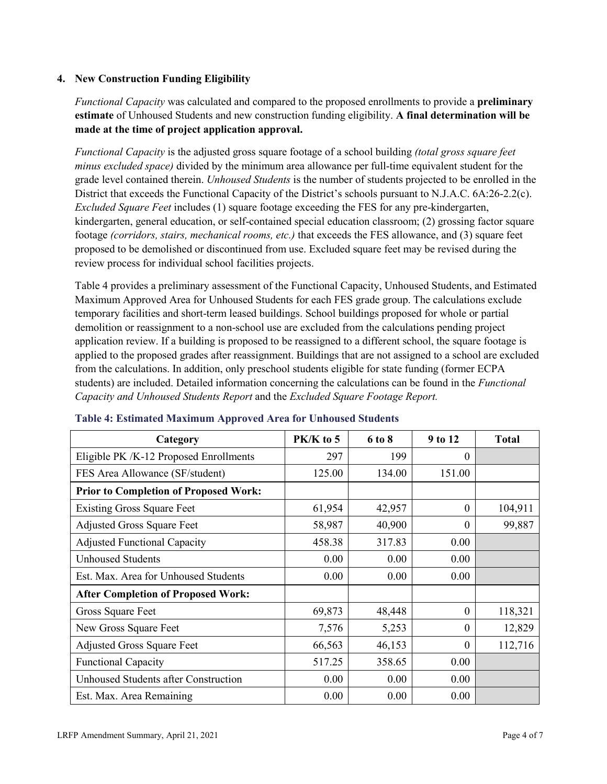## **4. New Construction Funding Eligibility**

*Functional Capacity* was calculated and compared to the proposed enrollments to provide a **preliminary estimate** of Unhoused Students and new construction funding eligibility. **A final determination will be made at the time of project application approval.**

*Functional Capacity* is the adjusted gross square footage of a school building *(total gross square feet minus excluded space)* divided by the minimum area allowance per full-time equivalent student for the grade level contained therein. *Unhoused Students* is the number of students projected to be enrolled in the District that exceeds the Functional Capacity of the District's schools pursuant to N.J.A.C. 6A:26-2.2(c). *Excluded Square Feet* includes (1) square footage exceeding the FES for any pre-kindergarten, kindergarten, general education, or self-contained special education classroom; (2) grossing factor square footage *(corridors, stairs, mechanical rooms, etc.)* that exceeds the FES allowance, and (3) square feet proposed to be demolished or discontinued from use. Excluded square feet may be revised during the review process for individual school facilities projects.

Table 4 provides a preliminary assessment of the Functional Capacity, Unhoused Students, and Estimated Maximum Approved Area for Unhoused Students for each FES grade group. The calculations exclude temporary facilities and short-term leased buildings. School buildings proposed for whole or partial demolition or reassignment to a non-school use are excluded from the calculations pending project application review. If a building is proposed to be reassigned to a different school, the square footage is applied to the proposed grades after reassignment. Buildings that are not assigned to a school are excluded from the calculations. In addition, only preschool students eligible for state funding (former ECPA students) are included. Detailed information concerning the calculations can be found in the *Functional Capacity and Unhoused Students Report* and the *Excluded Square Footage Report.*

| Category                                     | PK/K to 5 | 6 to 8 | 9 to 12      | <b>Total</b> |
|----------------------------------------------|-----------|--------|--------------|--------------|
| Eligible PK /K-12 Proposed Enrollments       | 297       | 199    | 0            |              |
| FES Area Allowance (SF/student)              | 125.00    | 134.00 | 151.00       |              |
| <b>Prior to Completion of Proposed Work:</b> |           |        |              |              |
| <b>Existing Gross Square Feet</b>            | 61,954    | 42,957 | $\theta$     | 104,911      |
| <b>Adjusted Gross Square Feet</b>            | 58,987    | 40,900 | $\theta$     | 99,887       |
| <b>Adjusted Functional Capacity</b>          | 458.38    | 317.83 | 0.00         |              |
| <b>Unhoused Students</b>                     | 0.00      | 0.00   | 0.00         |              |
| Est. Max. Area for Unhoused Students         | 0.00      | 0.00   | 0.00         |              |
| <b>After Completion of Proposed Work:</b>    |           |        |              |              |
| Gross Square Feet                            | 69,873    | 48,448 | $\theta$     | 118,321      |
| New Gross Square Feet                        | 7,576     | 5,253  | $\theta$     | 12,829       |
| <b>Adjusted Gross Square Feet</b>            | 66,563    | 46,153 | $\mathbf{0}$ | 112,716      |
| <b>Functional Capacity</b>                   | 517.25    | 358.65 | 0.00         |              |
| Unhoused Students after Construction         | 0.00      | 0.00   | 0.00         |              |
| Est. Max. Area Remaining                     | 0.00      | 0.00   | 0.00         |              |

#### **Table 4: Estimated Maximum Approved Area for Unhoused Students**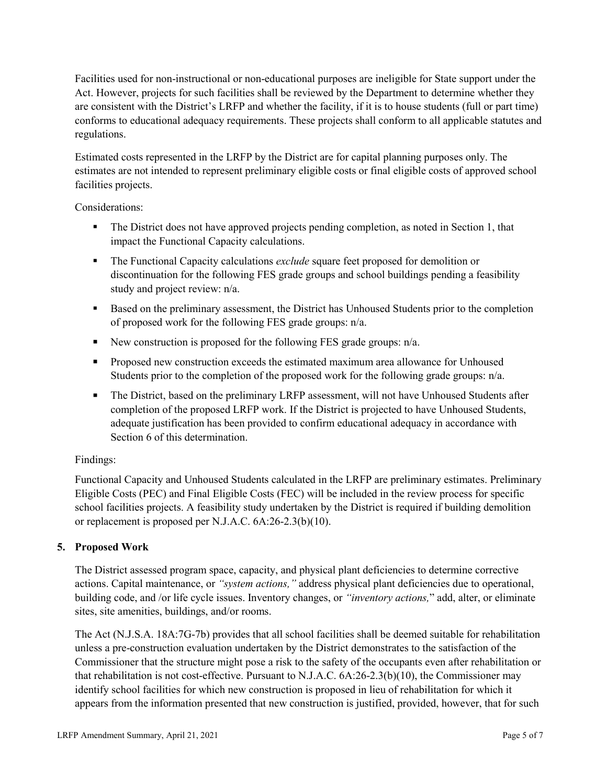Facilities used for non-instructional or non-educational purposes are ineligible for State support under the Act. However, projects for such facilities shall be reviewed by the Department to determine whether they are consistent with the District's LRFP and whether the facility, if it is to house students (full or part time) conforms to educational adequacy requirements. These projects shall conform to all applicable statutes and regulations.

Estimated costs represented in the LRFP by the District are for capital planning purposes only. The estimates are not intended to represent preliminary eligible costs or final eligible costs of approved school facilities projects.

Considerations:

- The District does not have approved projects pending completion, as noted in Section 1, that impact the Functional Capacity calculations.
- **The Functional Capacity calculations** *exclude* square feet proposed for demolition or discontinuation for the following FES grade groups and school buildings pending a feasibility study and project review: n/a.
- Based on the preliminary assessment, the District has Unhoused Students prior to the completion of proposed work for the following FES grade groups: n/a.
- New construction is proposed for the following FES grade groups: n/a.
- Proposed new construction exceeds the estimated maximum area allowance for Unhoused Students prior to the completion of the proposed work for the following grade groups: n/a.
- The District, based on the preliminary LRFP assessment, will not have Unhoused Students after completion of the proposed LRFP work. If the District is projected to have Unhoused Students, adequate justification has been provided to confirm educational adequacy in accordance with Section 6 of this determination.

## Findings:

Functional Capacity and Unhoused Students calculated in the LRFP are preliminary estimates. Preliminary Eligible Costs (PEC) and Final Eligible Costs (FEC) will be included in the review process for specific school facilities projects. A feasibility study undertaken by the District is required if building demolition or replacement is proposed per N.J.A.C. 6A:26-2.3(b)(10).

# **5. Proposed Work**

The District assessed program space, capacity, and physical plant deficiencies to determine corrective actions. Capital maintenance, or *"system actions,"* address physical plant deficiencies due to operational, building code, and /or life cycle issues. Inventory changes, or *"inventory actions,*" add, alter, or eliminate sites, site amenities, buildings, and/or rooms.

The Act (N.J.S.A. 18A:7G-7b) provides that all school facilities shall be deemed suitable for rehabilitation unless a pre-construction evaluation undertaken by the District demonstrates to the satisfaction of the Commissioner that the structure might pose a risk to the safety of the occupants even after rehabilitation or that rehabilitation is not cost-effective. Pursuant to N.J.A.C. 6A:26-2.3(b)(10), the Commissioner may identify school facilities for which new construction is proposed in lieu of rehabilitation for which it appears from the information presented that new construction is justified, provided, however, that for such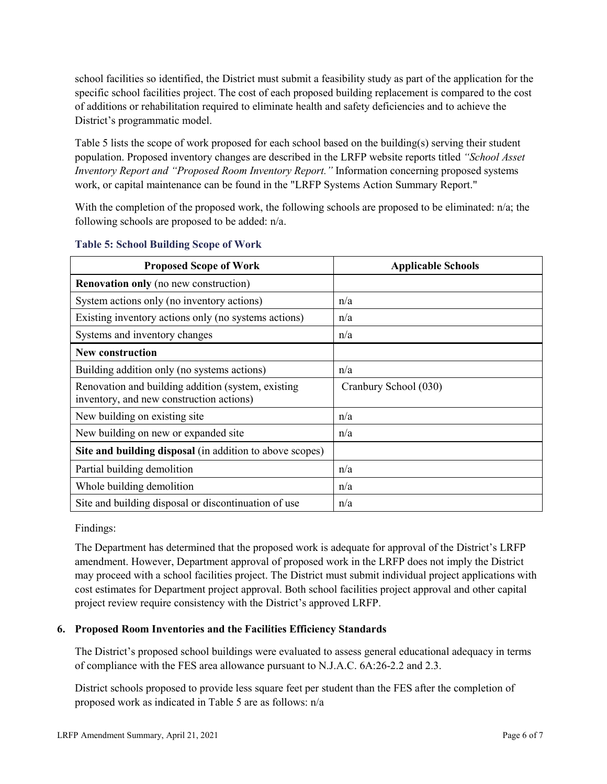school facilities so identified, the District must submit a feasibility study as part of the application for the specific school facilities project. The cost of each proposed building replacement is compared to the cost of additions or rehabilitation required to eliminate health and safety deficiencies and to achieve the District's programmatic model.

Table 5 lists the scope of work proposed for each school based on the building(s) serving their student population. Proposed inventory changes are described in the LRFP website reports titled *"School Asset Inventory Report and "Proposed Room Inventory Report."* Information concerning proposed systems work, or capital maintenance can be found in the "LRFP Systems Action Summary Report."

With the completion of the proposed work, the following schools are proposed to be eliminated: n/a; the following schools are proposed to be added: n/a.

| <b>Proposed Scope of Work</b>                                                                  | <b>Applicable Schools</b> |
|------------------------------------------------------------------------------------------------|---------------------------|
| <b>Renovation only</b> (no new construction)                                                   |                           |
| System actions only (no inventory actions)                                                     | n/a                       |
| Existing inventory actions only (no systems actions)                                           | n/a                       |
| Systems and inventory changes                                                                  | n/a                       |
| <b>New construction</b>                                                                        |                           |
| Building addition only (no systems actions)                                                    | n/a                       |
| Renovation and building addition (system, existing<br>inventory, and new construction actions) | Cranbury School (030)     |
| New building on existing site                                                                  | n/a                       |
| New building on new or expanded site                                                           | n/a                       |
| Site and building disposal (in addition to above scopes)                                       |                           |
| Partial building demolition                                                                    | n/a                       |
| Whole building demolition                                                                      | n/a                       |
| Site and building disposal or discontinuation of use                                           | n/a                       |

#### **Table 5: School Building Scope of Work**

Findings:

The Department has determined that the proposed work is adequate for approval of the District's LRFP amendment. However, Department approval of proposed work in the LRFP does not imply the District may proceed with a school facilities project. The District must submit individual project applications with cost estimates for Department project approval. Both school facilities project approval and other capital project review require consistency with the District's approved LRFP.

## **6. Proposed Room Inventories and the Facilities Efficiency Standards**

The District's proposed school buildings were evaluated to assess general educational adequacy in terms of compliance with the FES area allowance pursuant to N.J.A.C. 6A:26-2.2 and 2.3.

District schools proposed to provide less square feet per student than the FES after the completion of proposed work as indicated in Table 5 are as follows: n/a